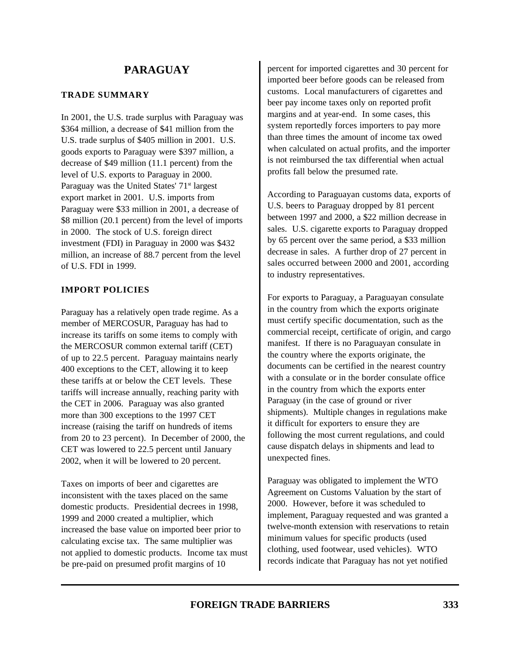### **TRADE SUMMARY**

In 2001, the U.S. trade surplus with Paraguay was \$364 million, a decrease of \$41 million from the U.S. trade surplus of \$405 million in 2001. U.S. goods exports to Paraguay were \$397 million, a decrease of \$49 million (11.1 percent) from the level of U.S. exports to Paraguay in 2000. Paraguay was the United States'  $71<sup>st</sup>$  largest export market in 2001. U.S. imports from Paraguay were \$33 million in 2001, a decrease of \$8 million (20.1 percent) from the level of imports in 2000. The stock of U.S. foreign direct investment (FDI) in Paraguay in 2000 was \$432 million, an increase of 88.7 percent from the level of U.S. FDI in 1999.

## **IMPORT POLICIES**

Paraguay has a relatively open trade regime. As a member of MERCOSUR, Paraguay has had to increase its tariffs on some items to comply with the MERCOSUR common external tariff (CET) of up to 22.5 percent. Paraguay maintains nearly 400 exceptions to the CET, allowing it to keep these tariffs at or below the CET levels. These tariffs will increase annually, reaching parity with the CET in 2006. Paraguay was also granted more than 300 exceptions to the 1997 CET increase (raising the tariff on hundreds of items from 20 to 23 percent). In December of 2000, the CET was lowered to 22.5 percent until January 2002, when it will be lowered to 20 percent.

Taxes on imports of beer and cigarettes are inconsistent with the taxes placed on the same domestic products. Presidential decrees in 1998, 1999 and 2000 created a multiplier, which increased the base value on imported beer prior to calculating excise tax. The same multiplier was not applied to domestic products. Income tax must be pre-paid on presumed profit margins of 10

percent for imported cigarettes and 30 percent for imported beer before goods can be released from customs. Local manufacturers of cigarettes and beer pay income taxes only on reported profit margins and at year-end. In some cases, this system reportedly forces importers to pay more than three times the amount of income tax owed when calculated on actual profits, and the importer is not reimbursed the tax differential when actual profits fall below the presumed rate.

According to Paraguayan customs data, exports of U.S. beers to Paraguay dropped by 81 percent between 1997 and 2000, a \$22 million decrease in sales. U.S. cigarette exports to Paraguay dropped by 65 percent over the same period, a \$33 million decrease in sales. A further drop of 27 percent in sales occurred between 2000 and 2001, according to industry representatives.

For exports to Paraguay, a Paraguayan consulate in the country from which the exports originate must certify specific documentation, such as the commercial receipt, certificate of origin, and cargo manifest. If there is no Paraguayan consulate in the country where the exports originate, the documents can be certified in the nearest country with a consulate or in the border consulate office in the country from which the exports enter Paraguay (in the case of ground or river shipments). Multiple changes in regulations make it difficult for exporters to ensure they are following the most current regulations, and could cause dispatch delays in shipments and lead to unexpected fines.

Paraguay was obligated to implement the WTO Agreement on Customs Valuation by the start of 2000. However, before it was scheduled to implement, Paraguay requested and was granted a twelve-month extension with reservations to retain minimum values for specific products (used clothing, used footwear, used vehicles). WTO records indicate that Paraguay has not yet notified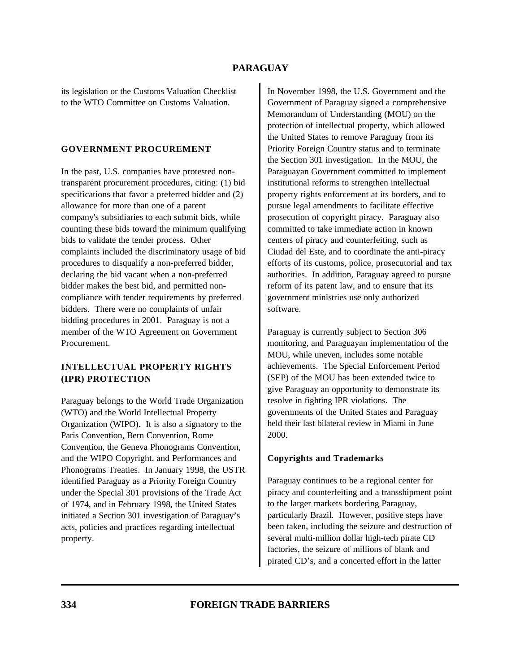its legislation or the Customs Valuation Checklist to the WTO Committee on Customs Valuation.

## **GOVERNMENT PROCUREMENT**

In the past, U.S. companies have protested nontransparent procurement procedures, citing: (1) bid specifications that favor a preferred bidder and (2) allowance for more than one of a parent company's subsidiaries to each submit bids, while counting these bids toward the minimum qualifying bids to validate the tender process. Other complaints included the discriminatory usage of bid procedures to disqualify a non-preferred bidder, declaring the bid vacant when a non-preferred bidder makes the best bid, and permitted noncompliance with tender requirements by preferred bidders. There were no complaints of unfair bidding procedures in 2001. Paraguay is not a member of the WTO Agreement on Government Procurement.

# **INTELLECTUAL PROPERTY RIGHTS (IPR) PROTECTION**

Paraguay belongs to the World Trade Organization (WTO) and the World Intellectual Property Organization (WIPO). It is also a signatory to the Paris Convention, Bern Convention, Rome Convention, the Geneva Phonograms Convention, and the WIPO Copyright, and Performances and Phonograms Treaties. In January 1998, the USTR identified Paraguay as a Priority Foreign Country under the Special 301 provisions of the Trade Act of 1974, and in February 1998, the United States initiated a Section 301 investigation of Paraguay's acts, policies and practices regarding intellectual property.

In November 1998, the U.S. Government and the Government of Paraguay signed a comprehensive Memorandum of Understanding (MOU) on the protection of intellectual property, which allowed the United States to remove Paraguay from its Priority Foreign Country status and to terminate the Section 301 investigation. In the MOU, the Paraguayan Government committed to implement institutional reforms to strengthen intellectual property rights enforcement at its borders, and to pursue legal amendments to facilitate effective prosecution of copyright piracy. Paraguay also committed to take immediate action in known centers of piracy and counterfeiting, such as Ciudad del Este, and to coordinate the anti-piracy efforts of its customs, police, prosecutorial and tax authorities. In addition, Paraguay agreed to pursue reform of its patent law, and to ensure that its government ministries use only authorized software.

Paraguay is currently subject to Section 306 monitoring, and Paraguayan implementation of the MOU, while uneven, includes some notable achievements. The Special Enforcement Period (SEP) of the MOU has been extended twice to give Paraguay an opportunity to demonstrate its resolve in fighting IPR violations. The governments of the United States and Paraguay held their last bilateral review in Miami in June 2000.

## **Copyrights and Trademarks**

Paraguay continues to be a regional center for piracy and counterfeiting and a transshipment point to the larger markets bordering Paraguay, particularly Brazil. However, positive steps have been taken, including the seizure and destruction of several multi-million dollar high-tech pirate CD factories, the seizure of millions of blank and pirated CD's, and a concerted effort in the latter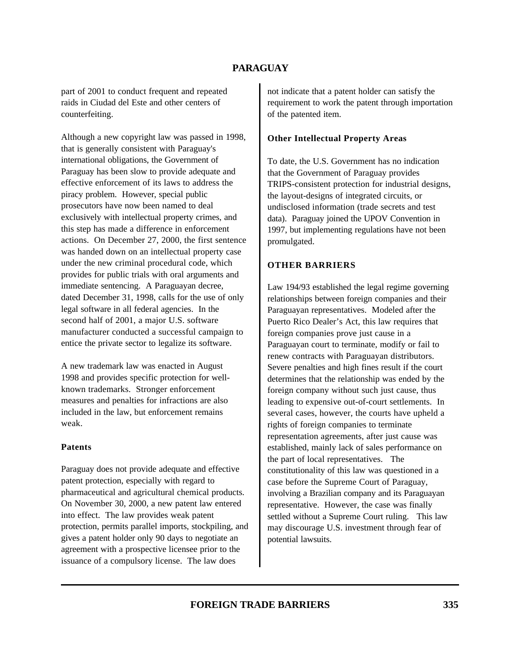part of 2001 to conduct frequent and repeated raids in Ciudad del Este and other centers of counterfeiting.

Although a new copyright law was passed in 1998, that is generally consistent with Paraguay's international obligations, the Government of Paraguay has been slow to provide adequate and effective enforcement of its laws to address the piracy problem. However, special public prosecutors have now been named to deal exclusively with intellectual property crimes, and this step has made a difference in enforcement actions. On December 27, 2000, the first sentence was handed down on an intellectual property case under the new criminal procedural code, which provides for public trials with oral arguments and immediate sentencing. A Paraguayan decree, dated December 31, 1998, calls for the use of only legal software in all federal agencies. In the second half of 2001, a major U.S. software manufacturer conducted a successful campaign to entice the private sector to legalize its software.

A new trademark law was enacted in August 1998 and provides specific protection for wellknown trademarks. Stronger enforcement measures and penalties for infractions are also included in the law, but enforcement remains weak.

#### **Patents**

Paraguay does not provide adequate and effective patent protection, especially with regard to pharmaceutical and agricultural chemical products. On November 30, 2000, a new patent law entered into effect. The law provides weak patent protection, permits parallel imports, stockpiling, and gives a patent holder only 90 days to negotiate an agreement with a prospective licensee prior to the issuance of a compulsory license. The law does

not indicate that a patent holder can satisfy the requirement to work the patent through importation of the patented item.

### **Other Intellectual Property Areas**

To date, the U.S. Government has no indication that the Government of Paraguay provides TRIPS-consistent protection for industrial designs, the layout-designs of integrated circuits, or undisclosed information (trade secrets and test data). Paraguay joined the UPOV Convention in 1997, but implementing regulations have not been promulgated.

### **OTHER BARRIERS**

Law 194/93 established the legal regime governing relationships between foreign companies and their Paraguayan representatives. Modeled after the Puerto Rico Dealer's Act, this law requires that foreign companies prove just cause in a Paraguayan court to terminate, modify or fail to renew contracts with Paraguayan distributors. Severe penalties and high fines result if the court determines that the relationship was ended by the foreign company without such just cause, thus leading to expensive out-of-court settlements. In several cases, however, the courts have upheld a rights of foreign companies to terminate representation agreements, after just cause was established, mainly lack of sales performance on the part of local representatives. The constitutionality of this law was questioned in a case before the Supreme Court of Paraguay, involving a Brazilian company and its Paraguayan representative. However, the case was finally settled without a Supreme Court ruling. This law may discourage U.S. investment through fear of potential lawsuits.